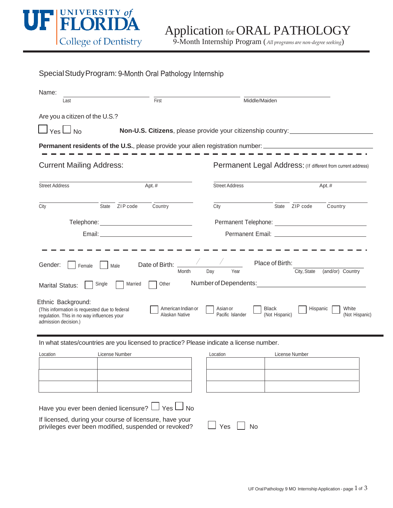

9-Month Internship Program (*All programs are non-degree seeking*)

| Special Study Program: 9-Month Oral Pathology Internship                                                                                                                                 |                           |                                                                          |                                                                                                                        |                                                                                                                         |                                             |
|------------------------------------------------------------------------------------------------------------------------------------------------------------------------------------------|---------------------------|--------------------------------------------------------------------------|------------------------------------------------------------------------------------------------------------------------|-------------------------------------------------------------------------------------------------------------------------|---------------------------------------------|
| Name:<br>Last                                                                                                                                                                            | $\overline{First}$        |                                                                          |                                                                                                                        | Middle/Maiden                                                                                                           |                                             |
| Are you a citizen of the U.S.?                                                                                                                                                           |                           |                                                                          |                                                                                                                        |                                                                                                                         |                                             |
| $\Box$ Yes $\Box$ No                                                                                                                                                                     |                           |                                                                          | Non-U.S. Citizens, please provide your citizenship country: ____________________                                       |                                                                                                                         |                                             |
|                                                                                                                                                                                          |                           |                                                                          | <b>Permanent residents of the U.S.</b> , please provide your alien registration number: ______________________________ |                                                                                                                         |                                             |
| <b>Current Mailing Address:</b>                                                                                                                                                          |                           |                                                                          | Permanent Legal Address: (If different from current address)                                                           |                                                                                                                         |                                             |
| <b>Street Address</b>                                                                                                                                                                    |                           | Apt.#                                                                    | <b>Street Address</b>                                                                                                  |                                                                                                                         | Apt.#                                       |
| City                                                                                                                                                                                     | State ZIP code            | Country                                                                  | City                                                                                                                   | State ZIP code                                                                                                          | Country                                     |
|                                                                                                                                                                                          |                           |                                                                          |                                                                                                                        |                                                                                                                         |                                             |
|                                                                                                                                                                                          |                           |                                                                          |                                                                                                                        |                                                                                                                         |                                             |
| Gender:<br>Female<br><b>Marital Status:</b><br>Ethnic Background:<br>(This information is requested due to federal<br>regulation. This in no way influences your<br>admission decision.) | Male<br>Single<br>Married | Date of Birth:<br>Month<br>Other<br>American Indian or<br>Alaskan Native | Day<br>Year<br>Number of Dependents:<br>Asian or<br>Pacific Islander                                                   | Place of Birth:<br>City, State<br><u> 1980 - Jan Sterling Sterling (d. 1980)</u><br>Black<br>Hispanic<br>(Not Hispanic) | (and/or) Country<br>White<br>(Not Hispanic) |
|                                                                                                                                                                                          |                           |                                                                          | In what states/countries are you licensed to practice? Please indicate a license number.                               |                                                                                                                         |                                             |
| Location                                                                                                                                                                                 | License Number            |                                                                          | Location                                                                                                               | License Number                                                                                                          |                                             |
|                                                                                                                                                                                          |                           |                                                                          |                                                                                                                        |                                                                                                                         |                                             |
|                                                                                                                                                                                          |                           |                                                                          |                                                                                                                        |                                                                                                                         |                                             |
| Have you ever been denied licensure? L<br>If licensed, during your course of licensure, have your<br>privileges ever been modified, suspended or revoked?                                |                           | $\Box$ Yes $\Box$ No                                                     | $Yes$ $\Box$ No                                                                                                        |                                                                                                                         |                                             |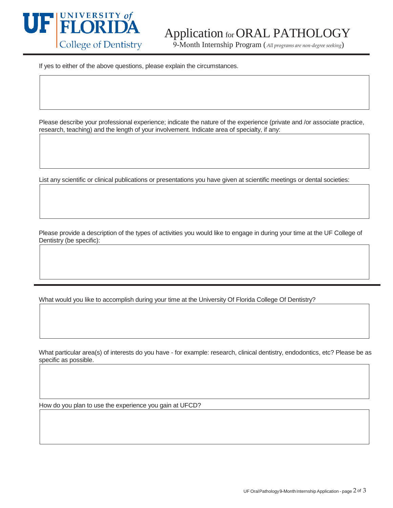

## Application for ORAL PATHOLOGY

9-Month Internship Program (*All programs are non-degree seeking*)

If yes to either of the above questions, please explain the circumstances.

Please describe your professional experience; indicate the nature of the experience (private and /or associate practice, research, teaching) and the length of your involvement. Indicate area of specialty, if any:

List any scientific or clinical publications or presentations you have given at scientific meetings or dental societies:

Please provide a description of the types of activities you would like to engage in during your time at the UF College of Dentistry (be specific):

What would you like to accomplish during your time at the University Of Florida College Of Dentistry?

What particular area(s) of interests do you have - for example: research, clinical dentistry, endodontics, etc? Please be as specific as possible.

How do you plan to use the experience you gain at UFCD?